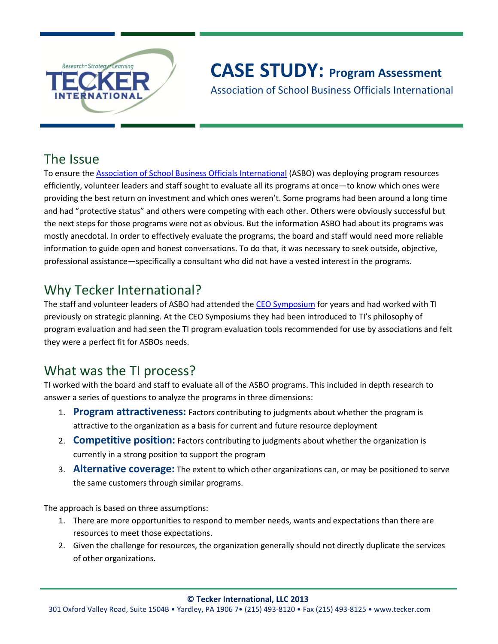

# **CASE STUDY: Program Assessment**

Association of School Business Officials International

### The Issue

To ensure the [Association of School Business Officials International](http://www.asbointl.org/) (ASBO) was deploying program resources efficiently, volunteer leaders and staff sought to evaluate all its programs at once—to know which ones were providing the best return on investment and which ones weren't. Some programs had been around a long time and had "protective status" and others were competing with each other. Others were obviously successful but the next steps for those programs were not as obvious. But the information ASBO had about its programs was mostly anecdotal. In order to effectively evaluate the programs, the board and staff would need more reliable information to guide open and honest conversations. To do that, it was necessary to seek outside, objective, professional assistance—specifically a consultant who did not have a vested interest in the programs.

## Why Tecker International?

The staff and volunteer leaders of ASBO had attended the [CEO Symposium](http://www.tecker.com/resources/ceo-symposium-for-chief-executive-officers/) for years and had worked with TI previously on strategic planning. At the CEO Symposiums they had been introduced to TI's philosophy of program evaluation and had seen the TI program evaluation tools recommended for use by associations and felt they were a perfect fit for ASBOs needs.

## What was the TI process?

TI worked with the board and staff to evaluate all of the ASBO programs. This included in depth research to answer a series of questions to analyze the programs in three dimensions:

- 1. **Program attractiveness:** Factors contributing to judgments about whether the program is attractive to the organization as a basis for current and future resource deployment
- 2. **Competitive position:** Factors contributing to judgments about whether the organization is currently in a strong position to support the program
- 3. **Alternative coverage:** The extent to which other organizations can, or may be positioned to serve the same customers through similar programs.

The approach is based on three assumptions:

- 1. There are more opportunities to respond to member needs, wants and expectations than there are resources to meet those expectations.
- 2. Given the challenge for resources, the organization generally should not directly duplicate the services of other organizations.